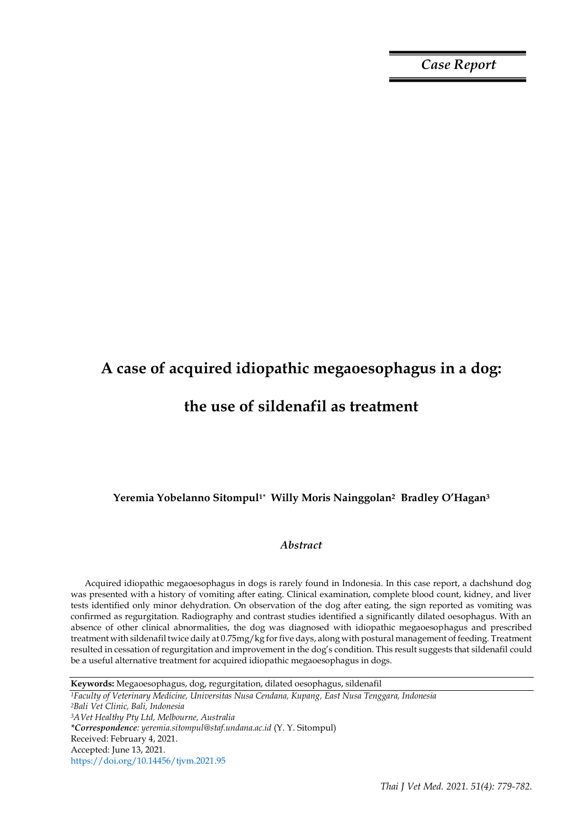*Case Report*

# **A case of acquired idiopathic megaoesophagus in a dog:**

# **the use of sildenafil as treatment**

## **Yeremia Yobelanno Sitompul1\* Willy Moris Nainggolan<sup>2</sup> Bradley O'Hagan<sup>3</sup>**

## *Abstract*

Acquired idiopathic megaoesophagus in dogs is rarely found in Indonesia. In this case report, a dachshund dog was presented with a history of vomiting after eating. Clinical examination, complete blood count, kidney, and liver tests identified only minor dehydration. On observation of the dog after eating, the sign reported as vomiting was confirmed as regurgitation. Radiography and contrast studies identified a significantly dilated oesophagus. With an absence of other clinical abnormalities, the dog was diagnosed with idiopathic megaoesophagus and prescribed treatment with sildenafil twice daily at 0.75mg/kg for five days, along with postural management of feeding. Treatment resulted in cessation of regurgitation and improvement in the dog's condition. This result suggests that sildenafil could be a useful alternative treatment for acquired idiopathic megaoesophagus in dogs.

*<sup>1</sup>Faculty of Veterinary Medicine, Universitas Nusa Cendana, Kupang, East Nusa Tenggara, Indonesia <sup>2</sup>Bali Vet Clinic, Bali, Indonesia <sup>3</sup>AVet Healthy Pty Ltd, Melbourne, Australia \*Correspondence: yeremia.sitompul@staf.undana.ac.id* (Y. Y. Sitompul) Received: February 4, 2021. Accepted: June 13, 2021. https://doi.org/10.14456/tjvm.2021.95

**Keywords:** Megaoesophagus, dog, regurgitation, dilated oesophagus, sildenafil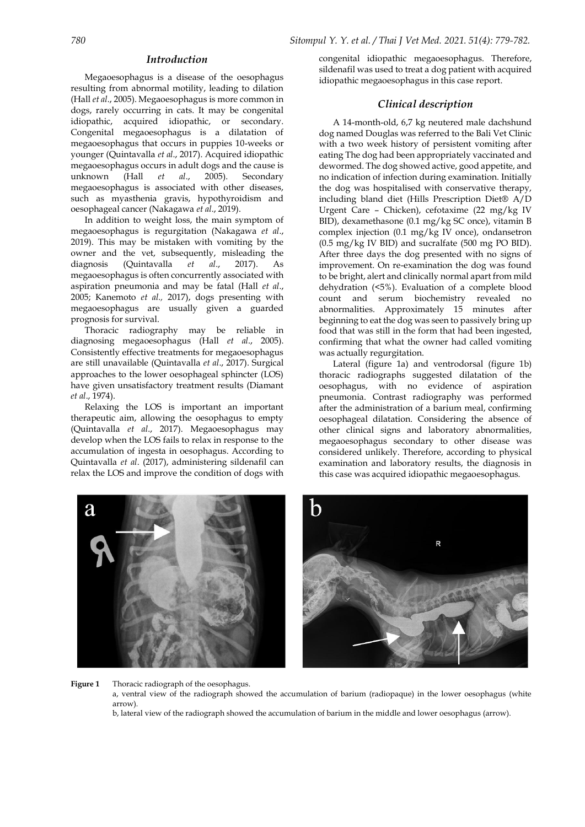### *Introduction*

Megaoesophagus is a disease of the oesophagus resulting from abnormal motility, leading to dilation (Hall *et al*., 2005). Megaoesophagus is more common in dogs, rarely occurring in cats. It may be congenital idiopathic, acquired idiopathic, or secondary. Congenital megaoesophagus is a dilatation of megaoesophagus that occurs in puppies 10-weeks or younger (Quintavalla *et al*., 2017). Acquired idiopathic megaoesophagus occurs in adult dogs and the cause is unknown (Hall *et al*., 2005). Secondary megaoesophagus is associated with other diseases, such as myasthenia gravis, hypothyroidism and oesophageal cancer (Nakagawa *et al*., 2019).

In addition to weight loss, the main symptom of megaoesophagus is regurgitation (Nakagawa *et al*., 2019). This may be mistaken with vomiting by the owner and the vet, subsequently, misleading the diagnosis (Quintavalla *et al*., 2017). As megaoesophagus is often concurrently associated with aspiration pneumonia and may be fatal (Hall *et al*., 2005; Kanemoto *et al.,* 2017), dogs presenting with megaoesophagus are usually given a guarded prognosis for survival.

Thoracic radiography may be reliable in diagnosing megaoesophagus (Hall *et al*., 2005). Consistently effective treatments for megaoesophagus are still unavailable (Quintavalla *et al*., 2017). Surgical approaches to the lower oesophageal sphincter (LOS) have given unsatisfactory treatment results (Diamant *et al*., 1974).

Relaxing the LOS is important an important therapeutic aim, allowing the oesophagus to empty (Quintavalla *et al*., 2017). Megaoesophagus may develop when the LOS fails to relax in response to the accumulation of ingesta in oesophagus. According to Quintavalla *et al*. (2017), administering sildenafil can relax the LOS and improve the condition of dogs with congenital idiopathic megaoesophagus. Therefore, sildenafil was used to treat a dog patient with acquired idiopathic megaoesophagus in this case report.

## *Clinical description*

A 14-month-old, 6,7 kg neutered male dachshund dog named Douglas was referred to the Bali Vet Clinic with a two week history of persistent vomiting after eating The dog had been appropriately vaccinated and dewormed. The dog showed active, good appetite, and no indication of infection during examination. Initially the dog was hospitalised with conservative therapy, including bland diet (Hills Prescription Diet® A/D Urgent Care – Chicken), cefotaxime (22 mg/kg IV BID), dexamethasone (0.1 mg/kg SC once), vitamin B complex injection (0.1 mg/kg IV once), ondansetron (0.5 mg/kg IV BID) and sucralfate (500 mg PO BID). After three days the dog presented with no signs of improvement. On re-examination the dog was found to be bright, alert and clinically normal apart from mild dehydration (<5%). Evaluation of a complete blood count and serum biochemistry revealed no abnormalities. Approximately 15 minutes after beginning to eat the dog was seen to passively bring up food that was still in the form that had been ingested, confirming that what the owner had called vomiting was actually regurgitation.

Lateral (figure 1a) and ventrodorsal (figure 1b) thoracic radiographs suggested dilatation of the oesophagus, with no evidence of aspiration pneumonia. Contrast radiography was performed after the administration of a barium meal, confirming oesophageal dilatation. Considering the absence of other clinical signs and laboratory abnormalities, megaoesophagus secondary to other disease was considered unlikely. Therefore, according to physical examination and laboratory results, the diagnosis in this case was acquired idiopathic megaoesophagus.



**Figure 1** Thoracic radiograph of the oesophagus.

a, ventral view of the radiograph showed the accumulation of barium (radiopaque) in the lower oesophagus (white arrow).

b, lateral view of the radiograph showed the accumulation of barium in the middle and lower oesophagus (arrow).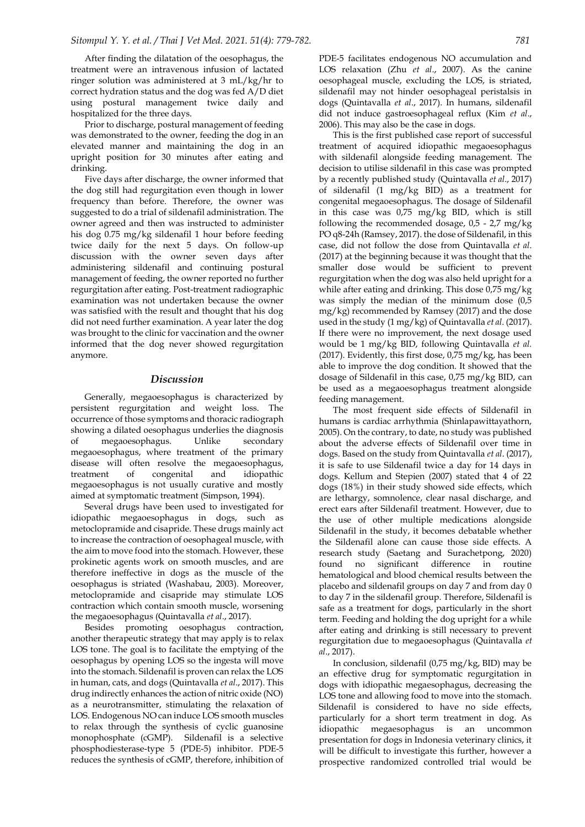After finding the dilatation of the oesophagus, the treatment were an intravenous infusion of lactated ringer solution was administered at 3 mL/kg/hr to correct hydration status and the dog was fed A/D diet using postural management twice daily and hospitalized for the three days.

Prior to discharge, postural management of feeding was demonstrated to the owner, feeding the dog in an elevated manner and maintaining the dog in an upright position for 30 minutes after eating and drinking.

Five days after discharge, the owner informed that the dog still had regurgitation even though in lower frequency than before. Therefore, the owner was suggested to do a trial of sildenafil administration. The owner agreed and then was instructed to administer his dog 0.75 mg/kg sildenafil 1 hour before feeding twice daily for the next 5 days. On follow-up discussion with the owner seven days after administering sildenafil and continuing postural management of feeding, the owner reported no further regurgitation after eating. Post-treatment radiographic examination was not undertaken because the owner was satisfied with the result and thought that his dog did not need further examination. A year later the dog was brought to the clinic for vaccination and the owner informed that the dog never showed regurgitation anymore.

#### *Discussion*

Generally, megaoesophagus is characterized by persistent regurgitation and weight loss. The occurrence of those symptoms and thoracic radiograph showing a dilated oesophagus underlies the diagnosis of megaoesophagus. Unlike secondary megaoesophagus, where treatment of the primary disease will often resolve the megaoesophagus, treatment of congenital and idiopathic megaoesophagus is not usually curative and mostly aimed at symptomatic treatment (Simpson, 1994).

Several drugs have been used to investigated for idiopathic megaoesophagus in dogs, such as metoclopramide and cisapride. These drugs mainly act to increase the contraction of oesophageal muscle, with the aim to move food into the stomach. However, these prokinetic agents work on smooth muscles, and are therefore ineffective in dogs as the muscle of the oesophagus is striated (Washabau, 2003). Moreover, metoclopramide and cisapride may stimulate LOS contraction which contain smooth muscle, worsening the megaoesophagus (Quintavalla *et al*., 2017).

Besides promoting oesophagus contraction, another therapeutic strategy that may apply is to relax LOS tone. The goal is to facilitate the emptying of the oesophagus by opening LOS so the ingesta will move into the stomach. Sildenafil is proven can relax the LOS in human, cats, and dogs (Quintavalla *et al*., 2017). This drug indirectly enhances the action of nitric oxide (NO) as a neurotransmitter, stimulating the relaxation of LOS. Endogenous NO can induce LOS smooth muscles to relax through the synthesis of cyclic guanosine monophosphate (cGMP). Sildenafil is a selective phosphodiesterase-type 5 (PDE-5) inhibitor. PDE-5 reduces the synthesis of cGMP, therefore, inhibition of PDE-5 facilitates endogenous NO accumulation and LOS relaxation (Zhu *et al*., 2007). As the canine oesophageal muscle, excluding the LOS, is striated, sildenafil may not hinder oesophageal peristalsis in dogs (Quintavalla *et al*., 2017). In humans, sildenafil did not induce gastroesophageal reflux (Kim *et al*., 2006). This may also be the case in dogs.

This is the first published case report of successful treatment of acquired idiopathic megaoesophagus with sildenafil alongside feeding management. The decision to utilise sildenafil in this case was prompted by a recently published study (Quintavalla *et al*., 2017) of sildenafil (1 mg/kg BID) as a treatment for congenital megaoesophagus. The dosage of Sildenafil in this case was 0,75 mg/kg BID, which is still following the recommended dosage, 0,5 - 2,7 mg/kg PO q8-24h (Ramsey, 2017). the dose of Sildenafil, in this case, did not follow the dose from Quintavalla *et al*. (2017) at the beginning because it was thought that the smaller dose would be sufficient to prevent regurgitation when the dog was also held upright for a while after eating and drinking. This dose 0,75 mg/kg was simply the median of the minimum dose (0,5 mg/kg) recommended by Ramsey (2017) and the dose used in the study (1 mg/kg) of Quintavalla *et al*. (2017). If there were no improvement, the next dosage used would be 1 mg/kg BID, following Quintavalla *et al.* (2017). Evidently, this first dose,  $0.75 \text{ mg/kg}$ , has been able to improve the dog condition. It showed that the dosage of Sildenafil in this case, 0,75 mg/kg BID, can be used as a megaoesophagus treatment alongside feeding management.

The most frequent side effects of Sildenafil in humans is cardiac arrhythmia (Shinlapawittayathorn, 2005). On the contrary, to date, no study was published about the adverse effects of Sildenafil over time in dogs. Based on the study from Quintavalla *et al*. (2017), it is safe to use Sildenafil twice a day for 14 days in dogs. Kellum and Stepien (2007) stated that 4 of 22 dogs (18%) in their study showed side effects, which are lethargy, somnolence, clear nasal discharge, and erect ears after Sildenafil treatment. However, due to the use of other multiple medications alongside Sildenafil in the study, it becomes debatable whether the Sildenafil alone can cause those side effects. A research study (Saetang and Surachetpong, 2020) found no significant difference in routine hematological and blood chemical results between the placebo and sildenafil groups on day 7 and from day 0 to day 7 in the sildenafil group. Therefore, Sildenafil is safe as a treatment for dogs, particularly in the short term. Feeding and holding the dog upright for a while after eating and drinking is still necessary to prevent regurgitation due to megaoesophagus (Quintavalla *et al*., 2017).

In conclusion, sildenafil (0,75 mg/kg, BID) may be an effective drug for symptomatic regurgitation in dogs with idiopathic megaesophagus, decreasing the LOS tone and allowing food to move into the stomach. Sildenafil is considered to have no side effects, particularly for a short term treatment in dog. As idiopathic megaesophagus is an uncommon presentation for dogs in Indonesia veterinary clinics, it will be difficult to investigate this further, however a prospective randomized controlled trial would be